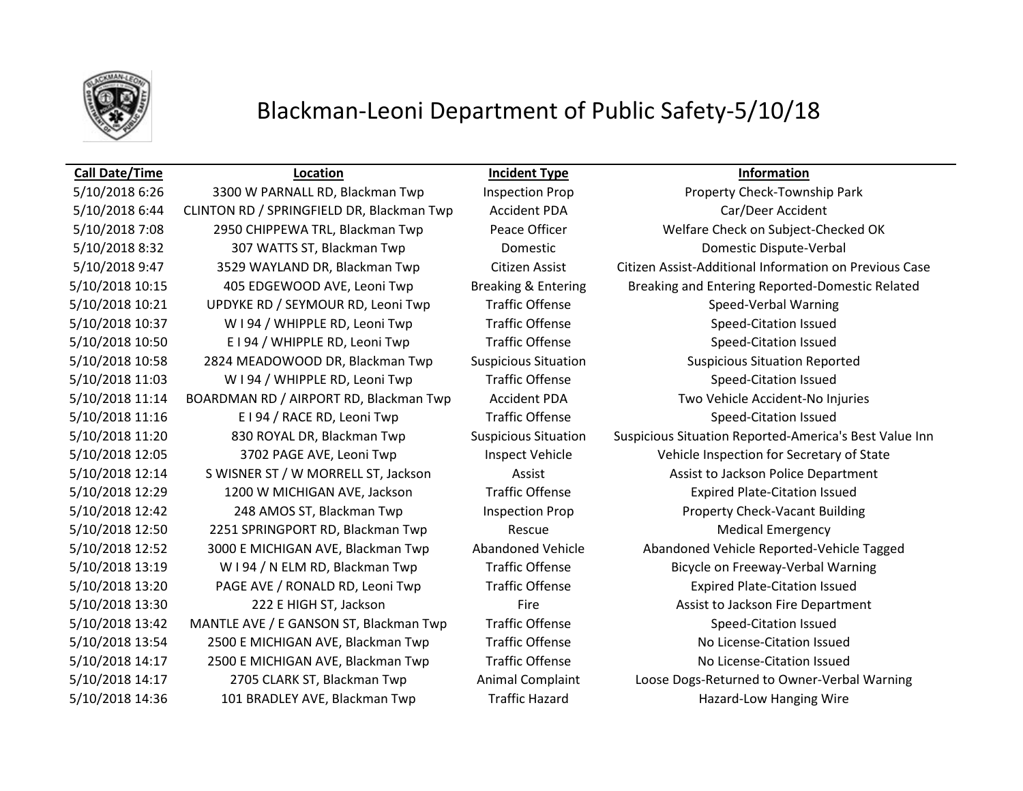

## Blackman-Leoni Department of Public Safety-5/10/18

5/10/2018 6:26 3300 W PARNALL RD, Blackman Twp Inspection Prop Property Check-Township Park 5/10/2018 6:44 CLINTON RD / SPRINGFIELD DR, Blackman Twp Accident PDA Car/Deer Accident 5/10/2018 8:32 307 WATTS ST, Blackman Twp Domestic Domestic Dispute-Verbal 5/10/2018 10:21 UPDYKE RD / SEYMOUR RD, Leoni Twp Traffic Offense Speed-Verbal Warning 5/10/2018 10:37 W I 94 / WHIPPLE RD, Leoni Twp Traffic Offense Speed-Citation Issued 5/10/2018 10:50 E I 94 / WHIPPLE RD, Leoni Twp Traffic Offense Speed-Citation Issued 5/10/2018 10:58 2824 MEADOWOOD DR, Blackman Twp Suspicious Situation Suspicious Situation Reported 5/10/2018 11:03 W I 94 / WHIPPLE RD, Leoni Twp Traffic Offense Speed-Citation Issued 5/10/2018 11:14 BOARDMAN RD / AIRPORT RD, Blackman Twp Accident PDA Two Vehicle Accident-No Injuries 5/10/2018 11:16 E I 94 / RACE RD, Leoni Twp Traffic Offense Speed-Citation Issued 5/10/2018 12:29 1200 W MICHIGAN AVE, Jackson Traffic Offense Expired Plate-Citation Issued 5/10/2018 12:42 248 AMOS ST, Blackman Twp Inspection Prop Property Check-Vacant Building 5/10/2018 12:50 2251 SPRINGPORT RD, Blackman Twp Rescue Rescue Medical Emergency 5/10/2018 13:20 PAGE AVE / RONALD RD, Leoni Twp Traffic Offense Expired Plate-Citation Issued 5/10/2018 13:42 MANTLE AVE / E GANSON ST, Blackman Twp Traffic Offense Speed-Citation Issued 5/10/2018 13:54 2500 E MICHIGAN AVE, Blackman Twp Traffic Offense Traffic And No License-Citation Issued 5/10/2018 14:17 2500 E MICHIGAN AVE, Blackman Twp Traffic Offense Traffic And Alexander Citation Issued

**Call Date/Time Location Incident Type Information**

5/10/2018 7:08 2950 CHIPPEWA TRL, Blackman Twp Peace Officer Welfare Check on Subject-Checked OK 5/10/2018 9:47 3529 WAYLAND DR, Blackman Twp Citizen Assist Citizen Assist-Additional Information on Previous Case 5/10/2018 10:15 405 EDGEWOOD AVE, Leoni Twp Breaking & Entering Breaking and Entering Reported-Domestic Related 5/10/2018 11:20 830 ROYAL DR, Blackman Twp Suspicious Situation Suspicious Situation Reported-America's Best Value Inn 5/10/2018 12:05 3702 PAGE AVE, Leoni Twp Inspect Vehicle Vehicle Vehicle Inspection for Secretary of State 5/10/2018 12:14 S WISNER ST / W MORRELL ST, Jackson Assist Assist to Jackson Police Department 5/10/2018 12:52 3000 E MICHIGAN AVE, Blackman Twp Abandoned Vehicle Abandoned Vehicle Reported-Vehicle Tagged 5/10/2018 13:19 W I 94 / N ELM RD, Blackman Twp Traffic Offense Bicycle on Freeway-Verbal Warning 5/10/2018 13:30 222 E HIGH ST, Jackson Fire Fire Assist to Jackson Fire Department 5/10/2018 14:17 2705 CLARK ST, Blackman Twp Animal Complaint Loose Dogs-Returned to Owner-Verbal Warning 5/10/2018 14:36 101 BRADLEY AVE, Blackman Twp Traffic Hazard Hazard Hazard-Low Hanging Wire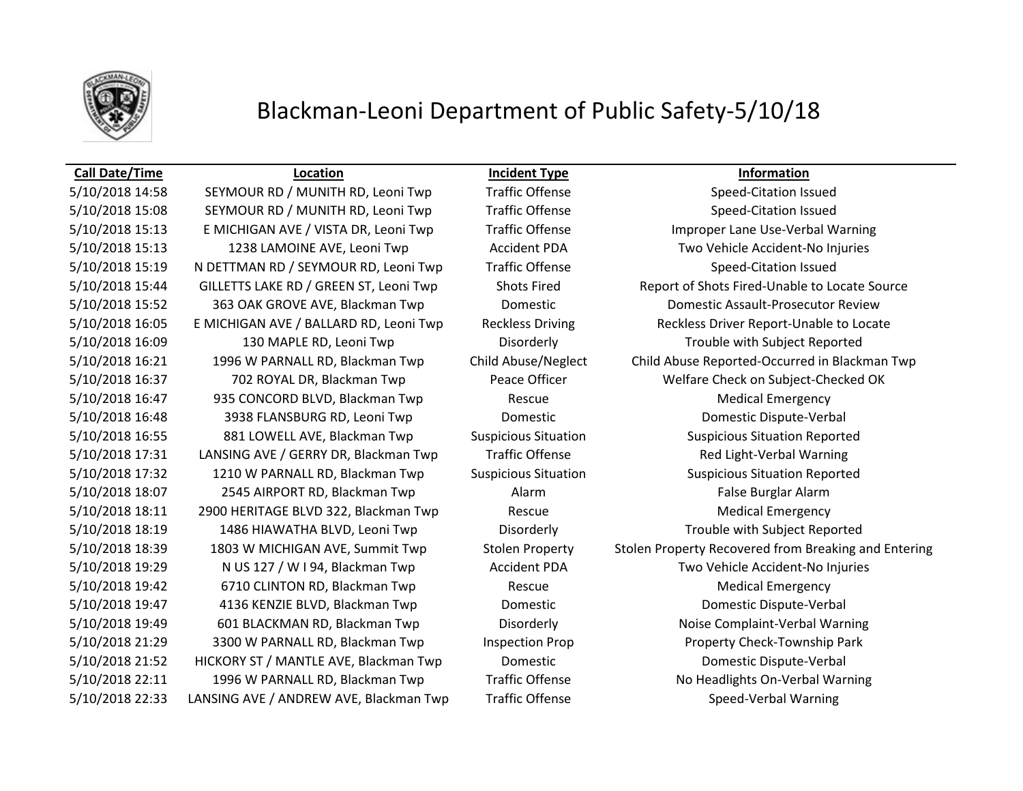

### Blackman-Leoni Department of Public Safety-5/10/18

### **Call Date/Time Location Incident Type Information**

5/10/2018 15:08 SEYMOUR RD / MUNITH RD, Leoni Twp Traffic Offense Speed-Citation Issued 5/10/2018 15:13 E MICHIGAN AVE / VISTA DR, Leoni Twp Traffic Offense Improper Lane Use-Verbal Warning 5/10/2018 15:13 1238 LAMOINE AVE, Leoni Twp Accident PDA Two Vehicle Accident-No Injuries 5/10/2018 15:19 N DETTMAN RD / SEYMOUR RD, Leoni Twp Traffic Offense Speed-Citation Issued 5/10/2018 16:09 130 MAPLE RD, Leoni Twp Disorderly Trouble with Subject Reported 5/10/2018 16:47 935 CONCORD BLVD, Blackman Twp Rescue Rescue Medical Emergency 5/10/2018 16:48 3938 FLANSBURG RD, Leoni Twp Domestic Domestic Dispute-Verbal 5/10/2018 16:55 881 LOWELL AVE, Blackman Twp Suspicious Situation Suspicious Situation Reported 5/10/2018 17:31 LANSING AVE / GERRY DR, Blackman Twp Traffic Offense Red Light-Verbal Warning 5/10/2018 17:32 1210 W PARNALL RD, Blackman Twp Suspicious Situation Suspicious Situation Reported 5/10/2018 18:07 2545 AIRPORT RD, Blackman Twp Alarm Alarm False Burglar Alarm 5/10/2018 18:11 2900 HERITAGE BLVD 322, Blackman Twp Rescue Rescue Medical Emergency 5/10/2018 18:19 1486 HIAWATHA BLVD, Leoni Twp Disorderly Trouble with Subject Reported 5/10/2018 19:29 N US 127 / W I 94, Blackman Twp Accident PDA Two Vehicle Accident-No Injuries 5/10/2018 19:42 6710 CLINTON RD, Blackman Twp Rescue Medical Emergency 5/10/2018 19:47 4136 KENZIE BLVD, Blackman Twp Domestic Domestic Dispute-Verbal 5/10/2018 19:49 601 BLACKMAN RD, Blackman Twp Disorderly Noise Complaint-Verbal Warning 5/10/2018 21:29 3300 W PARNALL RD, Blackman Twp Inspection Prop Property Check-Township Park 5/10/2018 21:52 HICKORY ST / MANTLE AVE, Blackman Twp Domestic Domestic Dispute-Verbal 5/10/2018 22:11 1996 W PARNALL RD, Blackman Twp Traffic Offense No Headlights On-Verbal Warning 5/10/2018 22:33 LANSING AVE / ANDREW AVE, Blackman Twp Traffic Offense Speed-Verbal Warning

5/10/2018 14:58 SEYMOUR RD / MUNITH RD, Leoni Twp Traffic Offense Speed-Citation Issued 5/10/2018 15:44 GILLETTS LAKE RD / GREEN ST, Leoni Twp Shots Fired Report of Shots Fired-Unable to Locate Source 5/10/2018 15:52 363 OAK GROVE AVE, Blackman Twp Domestic Domestic Domestic Assault-Prosecutor Review 5/10/2018 16:05 E MICHIGAN AVE / BALLARD RD, Leoni Twp Reckless Driving Reckless Driver Report-Unable to Locate 5/10/2018 16:21 1996 W PARNALL RD, Blackman Twp Child Abuse/Neglect Child Abuse Reported-Occurred in Blackman Twp 5/10/2018 16:37 702 ROYAL DR, Blackman Twp Peace Officer Welfare Check on Subject-Checked OK 5/10/2018 18:39 1803 W MICHIGAN AVE, Summit Twp Stolen Property Stolen Property Recovered from Breaking and Entering